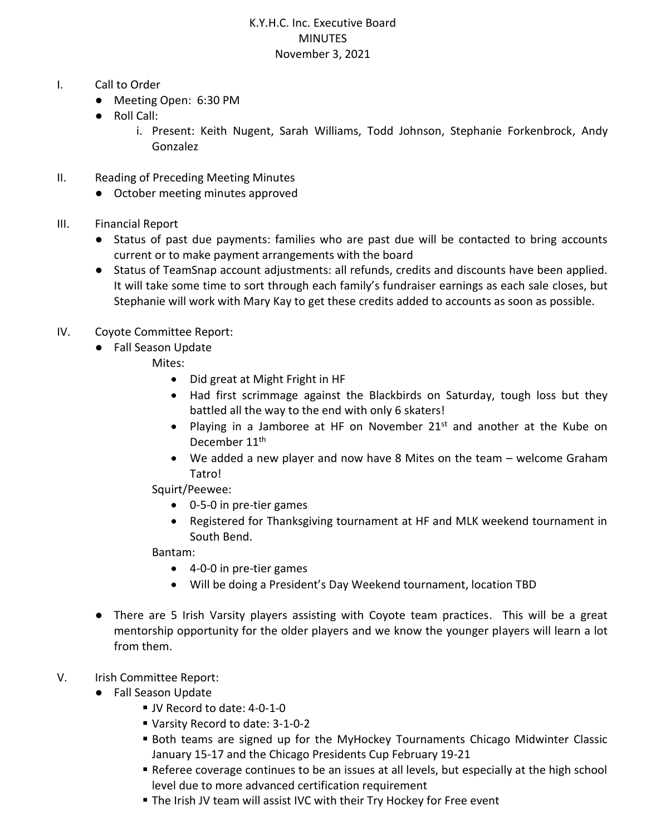## K.Y.H.C. Inc. Executive Board MINUTES November 3, 2021

- I. Call to Order
	- Meeting Open: 6:30 PM
	- Roll Call:
		- i. Present: Keith Nugent, Sarah Williams, Todd Johnson, Stephanie Forkenbrock, Andy Gonzalez
- II. Reading of Preceding Meeting Minutes
	- October meeting minutes approved
- III. Financial Report
	- Status of past due payments: families who are past due will be contacted to bring accounts current or to make payment arrangements with the board
	- Status of TeamSnap account adjustments: all refunds, credits and discounts have been applied. It will take some time to sort through each family's fundraiser earnings as each sale closes, but Stephanie will work with Mary Kay to get these credits added to accounts as soon as possible.
- IV. Coyote Committee Report:
	- Fall Season Update
		- Mites:
			- Did great at Might Fright in HF
			- Had first scrimmage against the Blackbirds on Saturday, tough loss but they battled all the way to the end with only 6 skaters!
			- Playing in a Jamboree at HF on November 21<sup>st</sup> and another at the Kube on December 11<sup>th</sup>
			- We added a new player and now have 8 Mites on the team welcome Graham Tatro!
		- Squirt/Peewee:
			- 0-5-0 in pre-tier games
			- Registered for Thanksgiving tournament at HF and MLK weekend tournament in South Bend.

Bantam:

- 4-0-0 in pre-tier games
- Will be doing a President's Day Weekend tournament, location TBD
- There are 5 Irish Varsity players assisting with Coyote team practices. This will be a great mentorship opportunity for the older players and we know the younger players will learn a lot from them.

## V. Irish Committee Report:

- Fall Season Update
	- JV Record to date: 4-0-1-0
	- Varsity Record to date: 3-1-0-2
	- Both teams are signed up for the MyHockey Tournaments Chicago Midwinter Classic January 15-17 and the Chicago Presidents Cup February 19-21
	- Referee coverage continues to be an issues at all levels, but especially at the high school level due to more advanced certification requirement
	- The Irish JV team will assist IVC with their Try Hockey for Free event